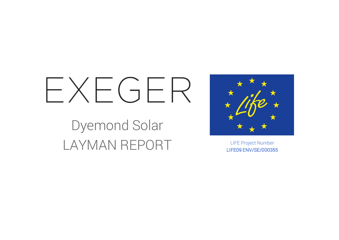# $FXFGFR$

Dyemond Solar LAYMAN REPORT LIFE Project Number



LIFE09 ENV/SE/000355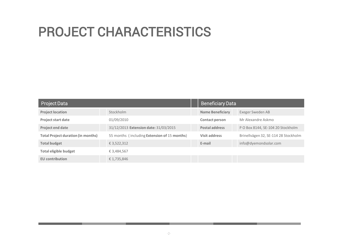### PROJECT CHARACTERISTICS

| Project Data                              |                                              | <b>Beneficiary Data</b> |                                      |
|-------------------------------------------|----------------------------------------------|-------------------------|--------------------------------------|
| <b>Project location</b>                   | Stockholm                                    | <b>Name Beneficiary</b> | Exeger Sweden AB                     |
| <b>Project start date</b>                 | 01/09/2010                                   | <b>Contact person</b>   | Mr Alexandre Askmo                   |
| Project end date                          | 31/12/2013 Extension date: 31/03/2015        | <b>Postal address</b>   | P O Box 8144, SE-104 20 Stockholm    |
| <b>Total Project duration (in months)</b> | 55 months (including Extension of 15 months) | <b>Visit address</b>    | Brinellvägen 32, SE-114 28 Stockholm |
| <b>Total budget</b>                       | € 3,522,312                                  | E-mail                  | info@dyemondsolar.com                |
| <b>Total eligible budget</b>              | € 3,484,567                                  |                         |                                      |
| <b>EU</b> contribution                    | €1,735,846                                   |                         |                                      |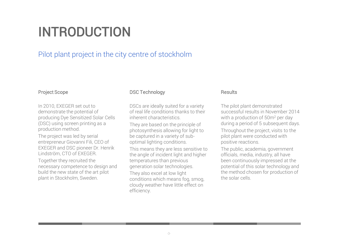### INTRODUCTION

#### Pilot plant project in the city centre of stockholm

#### Project Scope

In 2010, EXEGER set out to demonstrate the potential of producing Dye Sensitized Solar Cells (DSC) using screen printing as a production method.

The project was led by serial entrepreneur Giovanni Fili, CEO of EXEGER and DSC pioneer Dr. Henrik Lindström, CTO of EXEGER.

Together they recruited the necessary competence to design and build the new state of the art pilot plant in Stockholm, Sweden.

#### DSC Technology

DSCs are ideally suited for a variety of real life conditions thanks to their inherent characteristics.

They are based on the principle of photosynthesis allowing for light to be captured in a variety of suboptimal lighting conditions.

This means they are less sensitive to the angle of incident light and higher temperatures than previous generation solar technologies.

They also excel at low light conditions which means fog, smog, cloudy weather have little effect on efficiency.

#### Results

The pilot plant demonstrated successful results in November 2014 with a production of 50m<sup>2</sup> per day during a period of 5 subsequent days. Throughout the project, visits to the pilot plant were conducted with positive reactions.

The public, academia, government officials, media, industry, all have been continuously impressed at the potential of this solar technology and the method chosen for production of the solar cells.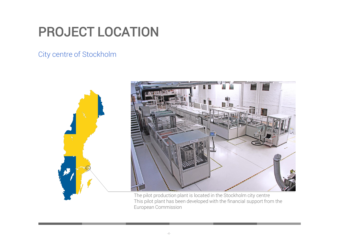### PROJECT LOCATION

City centre of Stockholm



The pilot production plant is located in the Stockholm city centre This pilot plant has been developed with the financial support from the European Commission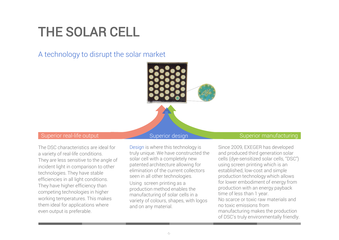### THE SOLAR CELL

A technology to disrupt the solar market



The DSC characteristics are ideal for a variety of real-life conditions. They are less sensitive to the angle of incident light in comparison to other technologies. They have stable efficiencies in all light conditions. They have higher efficiency than competing technologies in higher working temperatures. This makes them ideal for applications where even output is preferable.

Design is where this technology is truly unique. We have constructed the solar cell with a completely new patented architecture allowing for elimination of the current collectors seen in all other technologies.

Using screen printing as a production method enables the manufacturing of solar cells in a variety of colours, shapes, with logos and on any material.

#### Superior real-life output Superior design Superior Manufacturing

Since 2009, EXEGER has developed and produced third generation solar cells (dye-sensitized solar cells, "DSC") using screen printing which is an established, low-cost and simple production technology which allows for lower embodiment of energy from production with an energy payback time of less than 1 year. No scarce or toxic raw materials and no toxic emissions from manufacturing makes the production of DSC's truly environmentally friendly.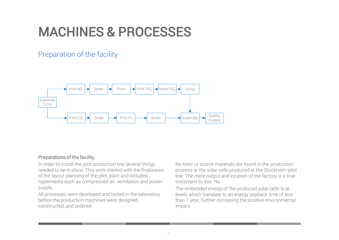### MACHINES & PROCESSES

### Preparation of the facility



#### Preparations of the facility

In order to install the pilot production line several things needed to be in place. This work started with the finalization of the layout planning of the pilot plant and included hypermedia such as compressed air, ventilation and power supply.

All processes were developed and tested in the laboratory before the production machines were designed, constructed, and ordered.

No toxic or scarce materials are found in the production process or the solar cells produced at the Stockholm pilot line. The mere output and location of the factory is a true testament to this. No

The embedded energy of the produced solar cells is at levels which translate to an energy payback time of less than 1 year, further increasing the positive environmental impact.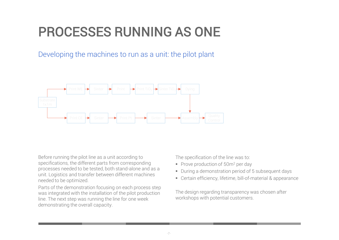### PROCESSES RUNNING AS ONE

Developing the machines to run as a unit: the pilot plant



Before running the pilot line as a unit according to specifications, the different parts from corresponding processes needed to be tested, both stand-alone and as a unit. Logistics and transfer between different machines needed to be optimized.

Parts of the demonstration focusing on each process step was integrated with the installation of the pilot production line. The next step was running the line for one week demonstrating the overall capacity.

The specification of the line was to:

- Prove production of 50m<sup>2</sup> per day
- During a demonstration period of 5 subsequent days
- Certain efficiency, lifetime, bill-of-material & appearance

The design regarding transparency was chosen after workshops with potential customers.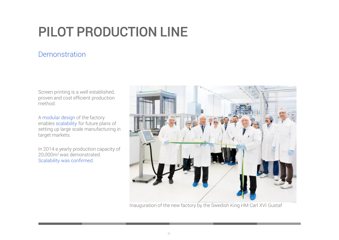# PILOT PRODUCTION LINE

#### **Demonstration**

Screen printing is a well established, proven and cost efficient production method.

A modular design of the factory enables scalability for future plans of setting up large scale manufacturing in target markets.

In 2014 a yearly production capacity of 20,000m<sup>2</sup>was demonstrated. Scalability was confirmed.



Inauguration of the new factory by the Swedish King HM Carl XVI Gustaf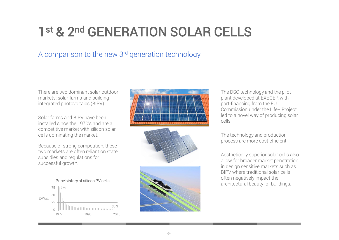## 1<sup>st</sup> & 2<sup>nd</sup> GENERATION SOLAR CELLS

#### A comparison to the new 3rd generation technology

There are two dominant solar outdoor markets: solar farms and building integrated photovoltaics (BIPV).

Solar farms and BIPV have been installed since the 1970's and are a competitive market with silicon solar cells dominating the market.

Because of strong competition, these two markets are often reliant on state subsidies and regulations for successful growth.









The DSC technology and the pilot plant developed at EXEGER with part-financing from the EU Commission under the Life+ Project led to a novel way of producing solar cells.

The technology and production process are more cost efficient.

Aesthetically superior solar cells also allow for broader market penetration in design sensitive markets such as BIPV where traditional solar cells often negatively impact the architectural beauty of buildings.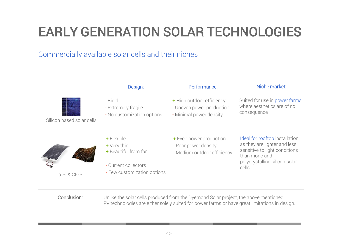## EARLY GENERATION SOLAR TECHNOLOGIES

### Commercially available solar cells and their niches



- + Beautiful from far
- Current collectors
- 
- Medium outdoor efficiency

sensitive to light conditions than mono and polycrystalline silicon solar cells.

a-Si & CIGS

- 
- 
- Few customization options

Conclusion: Unlike the solar cells produced from the Dyemond Solar project, the above mentioned PV technologies are either solely suited for power farms or have great limitations in design.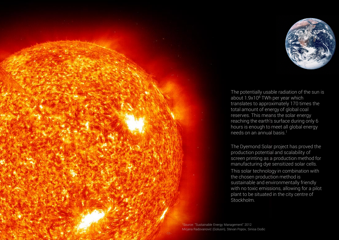

The potentially usable radiation of the sun is about 1.9x10<sup>8</sup> TWh per year which translates to approximately 170 times the total amount of energy of global coal reserves. This means the solar energy reaching the earth's surface during only 6 hours is enough to meet all global energy needs on an annual basis.<sup>1</sup>

The Dyemond Solar project has proved the production potential and scalability of screen printing as a production method for manufacturing dye sensitized solar cells. This solar technology in combination with the chosen production method is sustainable and environmentally friendly with no toxic emissions, allowing for a pilot plant to be situated in the city centre of Stockholm.

<sup>1</sup>Source: "Sustainable Energy Management" 2012 Mirjana Radovanović (Golusin), Stevan Popov, Sinisa Dodic